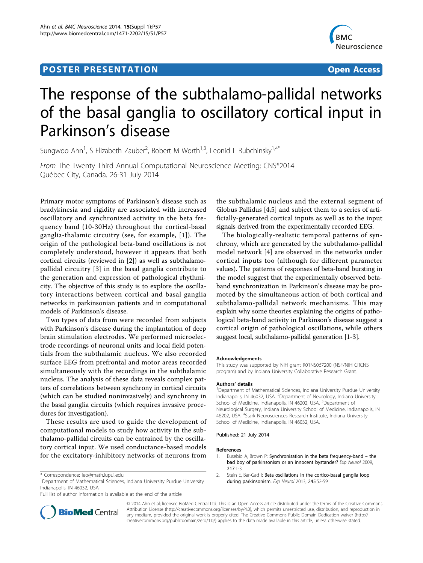# POSTER PRESENTATION **Open Access**



# The response of the subthalamo-pallidal networks of the basal ganglia to oscillatory cortical input in Parkinson's disease

Sungwoo Ahn<sup>1</sup>, S Elizabeth Zauber<sup>2</sup>, Robert M Worth<sup>1,3</sup>, Leonid L Rubchinsky<sup>1,4\*</sup>

From The Twenty Third Annual Computational Neuroscience Meeting: CNS\*2014 Québec City, Canada. 26-31 July 2014

Primary motor symptoms of Parkinson's disease such as bradykinesia and rigidity are associated with increased oscillatory and synchronized activity in the beta frequency band (10-30Hz) throughout the cortical-basal ganglia-thalamic circuitry (see, for example, [1]). The origin of the pathological beta-band oscillations is not completely understood, however it appears that both cortical circuits (reviewed in [2]) as well as subthalamopallidal circuitry [\[3\]](#page-1-0) in the basal ganglia contribute to the generation and expression of pathological rhythmicity. The objective of this study is to explore the oscillatory interactions between cortical and basal ganglia networks in parkinsonian patients and in computational models of Parkinson's disease.

Two types of data from were recorded from subjects with Parkinson's disease during the implantation of deep brain stimulation electrodes. We performed microelectrode recordings of neuronal units and local field potentials from the subthalamic nucleus. We also recorded surface EEG from prefrontal and motor areas recorded simultaneously with the recordings in the subthalamic nucleus. The analysis of these data reveals complex patters of correlations between synchrony in cortical circuits (which can be studied noninvasively) and synchrony in the basal ganglia circuits (which requires invasive procedures for investigation).

These results are used to guide the development of computational models to study how activity in the subthalamo-pallidal circuits can be entrained by the oscillatory cortical input. We used conductance-based models for the excitatory-inhibitory networks of neurons from

Full list of author information is available at the end of the article



the subthalamic nucleus and the external segment of Globus Pallidus [[4,5\]](#page-1-0) and subject them to a series of artificially-generated cortical inputs as well as to the input signals derived from the experimentally recorded EEG.

The biologically-realistic temporal patterns of synchrony, which are generated by the subthalamo-pallidal model network [\[4\]](#page-1-0) are observed in the networks under cortical inputs too (although for different parameter values). The patterns of responses of beta-band bursting in the model suggest that the experimentally observed betaband synchronization in Parkinson's disease may be promoted by the simultaneous action of both cortical and subthalamo-pallidal network mechanisms. This may explain why some theories explaining the origins of pathological beta-band activity in Parkinson's disease suggest a cortical origin of pathological oscillations, while others suggest local, subthalamo-pallidal generation [1-[3](#page-1-0)].

#### Acknowledgements

This study was supported by NIH grant R01NS067200 (NSF/NIH CRCNS program) and by Indiana University Collaborative Research Grant.

#### Authors' details <sup>1</sup>

<sup>1</sup>Department of Mathematical Sciences, Indiana University Purdue University Indianapolis, IN 46032, USA. <sup>2</sup>Department of Neurology, Indiana University School of Medicine, Indianapolis, IN 46202, USA. <sup>3</sup>Department of Neurological Surgery, Indiana University School of Medicine, Indianapolis, IN 46202, USA. <sup>4</sup>Stark Neurosciences Research Institute, Indiana University School of Medicine, Indianapolis, IN 46032, USA.

#### Published: 21 July 2014

## References

- 1. Eusebio A, Brown P: [Synchronisation in the beta frequency-band](http://www.ncbi.nlm.nih.gov/pubmed/19233172?dopt=Abstract) the [bad boy of parkinsonism or an innocent bystander?](http://www.ncbi.nlm.nih.gov/pubmed/19233172?dopt=Abstract) Exp Neurol 2009, 217:1-3.
- 2. Stein E, Bar-Gad I: [Beta oscillations in the cortico-basal ganglia loop](http://www.ncbi.nlm.nih.gov/pubmed/22921537?dopt=Abstract) [during parkinsonism.](http://www.ncbi.nlm.nih.gov/pubmed/22921537?dopt=Abstract) Exp Neurol 2013, 245:52-59.

© 2014 Ahn et al; licensee BioMed Central Ltd. This is an Open Access article distributed under the terms of the Creative Commons Attribution License [\(http://creativecommons.org/licenses/by/4.0](http://creativecommons.org/licenses/by/4.0)), which permits unrestricted use, distribution, and reproduction in any medium, provided the original work is properly cited. The Creative Commons Public Domain Dedication waiver [\(http://](http://creativecommons.org/publicdomain/zero/1.0/) [creativecommons.org/publicdomain/zero/1.0/](http://creativecommons.org/publicdomain/zero/1.0/)) applies to the data made available in this article, unless otherwise stated.

<sup>\*</sup> Correspondence: [leo@math.iupui.edu](mailto:leo@math.iupui.edu)

<sup>&</sup>lt;sup>1</sup>Department of Mathematical Sciences, Indiana University Purdue University Indianapolis, IN 46032, USA